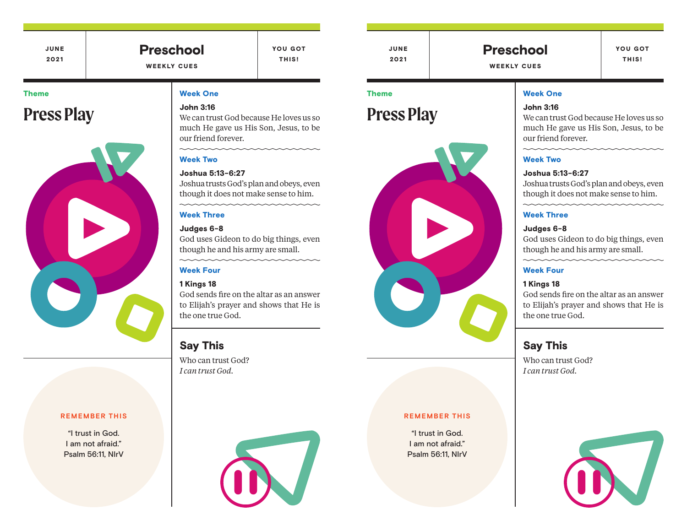JUNE 2021

Preschool

WEEKLY CUES

YOU GOT THIS!

JUNE 2021

Theme

Preschool

WEEKLY CUES

YOU GOT THIS!

#### Week One

#### John 3:16

We can trust God because He loves us so much He gave us His Son, Jesus, to be our friend forever.

#### mmmmm Week Two

#### Joshua 5:13-6:27

Joshua trusts God's plan and obeys, even though it does not make sense to him.

mmmmmmm

#### Week Three

#### Judges 6-8

God uses Gideon to do big things, even though he and his army are small.

mmmmm

#### Week Four

#### 1 Kings 18

God sends fire on the altar as an answer to Elijah's prayer and shows that He is the one true God.

#### Say This

Who can trust God? *I can trust God.*



#### Theme

## **Press Play**



#### **REMEMBER THIS**

"I trust in God. I am not afraid." Psalm 56:11, NIrV

### Week One

John 3:16 We can trust God because He loves us so

much He gave us His Son, Jesus, to be our friend forever.

mmmmmmm

#### Week Two

Joshua 5:13-6:27

Joshua trusts God's plan and obeys, even though it does not make sense to him.

mmmmmmm

#### Week Three

#### Judges 6-8

God uses Gideon to do big things, even though he and his army are small.

 $\sim$ 

#### Week Four

#### 1 Kings 18

God sends fire on the altar as an answer to Elijah's prayer and shows that He is the one true God.

#### Say This

Who can trust God? *I can trust God.*



#### **REMEMBER THIS**

"I trust in God. I am not afraid." Psalm 56:11, NIrV

# **Press Play**